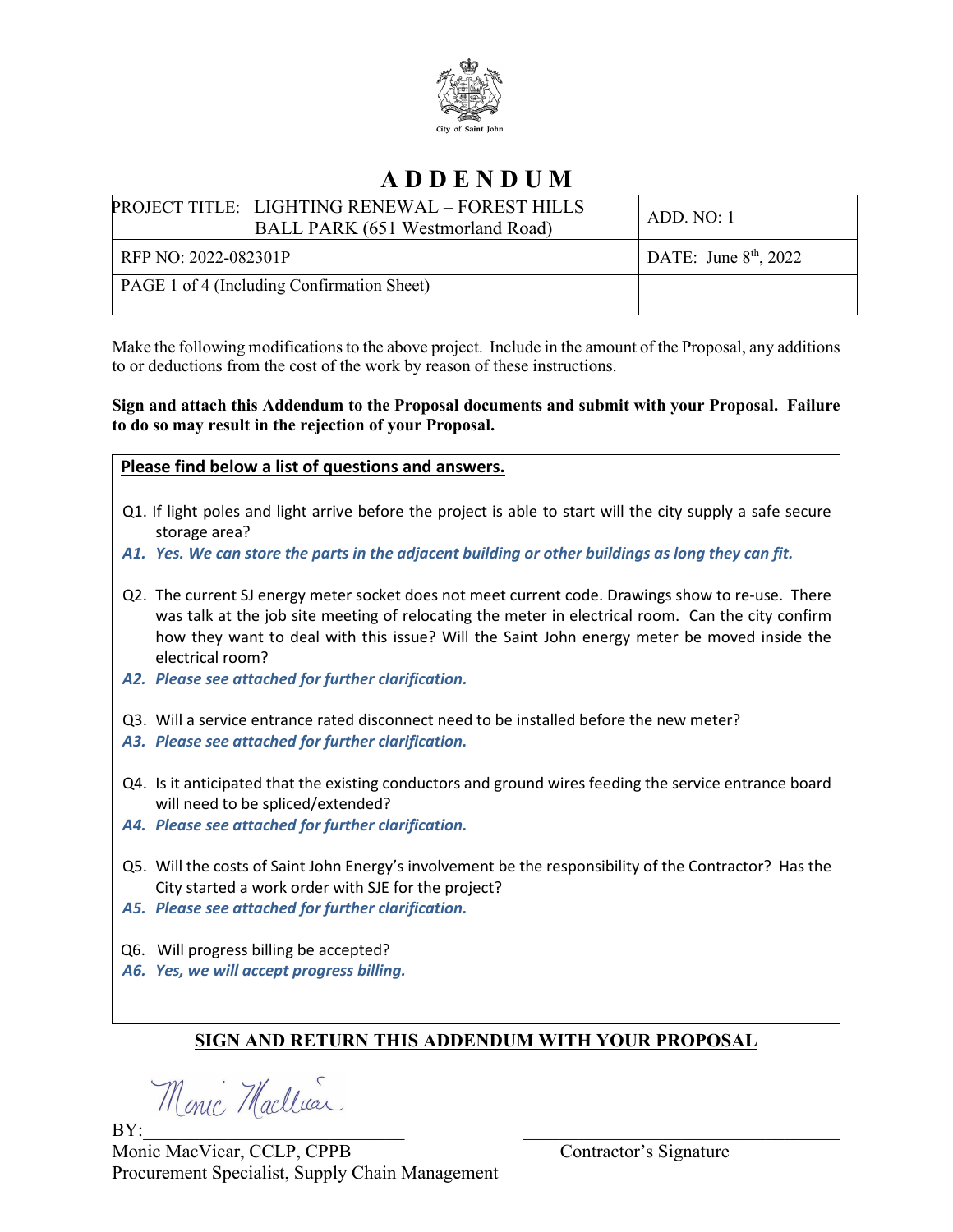

| <b>PROJECT TITLE: LIGHTING RENEWAL – FOREST HILLS</b><br>BALL PARK (651 Westmorland Road) | ADD. NO: 1              |
|-------------------------------------------------------------------------------------------|-------------------------|
| RFP NO: 2022-082301P                                                                      | DATE: June $8th$ , 2022 |
| <b>PAGE 1 of 4 (Including Confirmation Sheet)</b>                                         |                         |

Make the following modifications to the above project. Include in the amount of the Proposal, any additions to or deductions from the cost of the work by reason of these instructions.

**Sign and attach this Addendum to the Proposal documents and submit with your Proposal. Failure to do so may result in the rejection of your Proposal.**

| Please find below a list of questions and answers.                                                                                                                                                                                                                                                                        |
|---------------------------------------------------------------------------------------------------------------------------------------------------------------------------------------------------------------------------------------------------------------------------------------------------------------------------|
| Q1. If light poles and light arrive before the project is able to start will the city supply a safe secure<br>storage area?                                                                                                                                                                                               |
| A1. Yes. We can store the parts in the adjacent building or other buildings as long they can fit.                                                                                                                                                                                                                         |
| Q2. The current SJ energy meter socket does not meet current code. Drawings show to re-use. There<br>was talk at the job site meeting of relocating the meter in electrical room. Can the city confirm<br>how they want to deal with this issue? Will the Saint John energy meter be moved inside the<br>electrical room? |

- *A2. Please see attached for further clarification.*
- Q3. Will a service entrance rated disconnect need to be installed before the new meter?
- *A3. Please see attached for further clarification.*
- Q4. Is it anticipated that the existing conductors and ground wires feeding the service entrance board will need to be spliced/extended?
- *A4. Please see attached for further clarification.*
- Q5. Will the costs of Saint John Energy's involvement be the responsibility of the Contractor? Has the City started a work order with SJE for the project?
- *A5. Please see attached for further clarification.*
- Q6. Will progress billing be accepted?
- *A6. Yes, we will accept progress billing.*

#### **SIGN AND RETURN THIS ADDENDUM WITH YOUR PROPOSAL**

Monic Macluan

 $BY:$ BY:\_\_\_\_\_\_\_\_\_\_\_\_\_\_\_\_\_\_\_\_\_\_\_\_\_\_\_\_ \_\_\_\_\_\_\_\_\_\_\_\_\_\_\_\_\_\_\_\_\_\_\_\_\_\_\_\_\_\_\_\_\_\_ Monic MacVicar, CCLP, CPPB Contractor's Signature Procurement Specialist, Supply Chain Management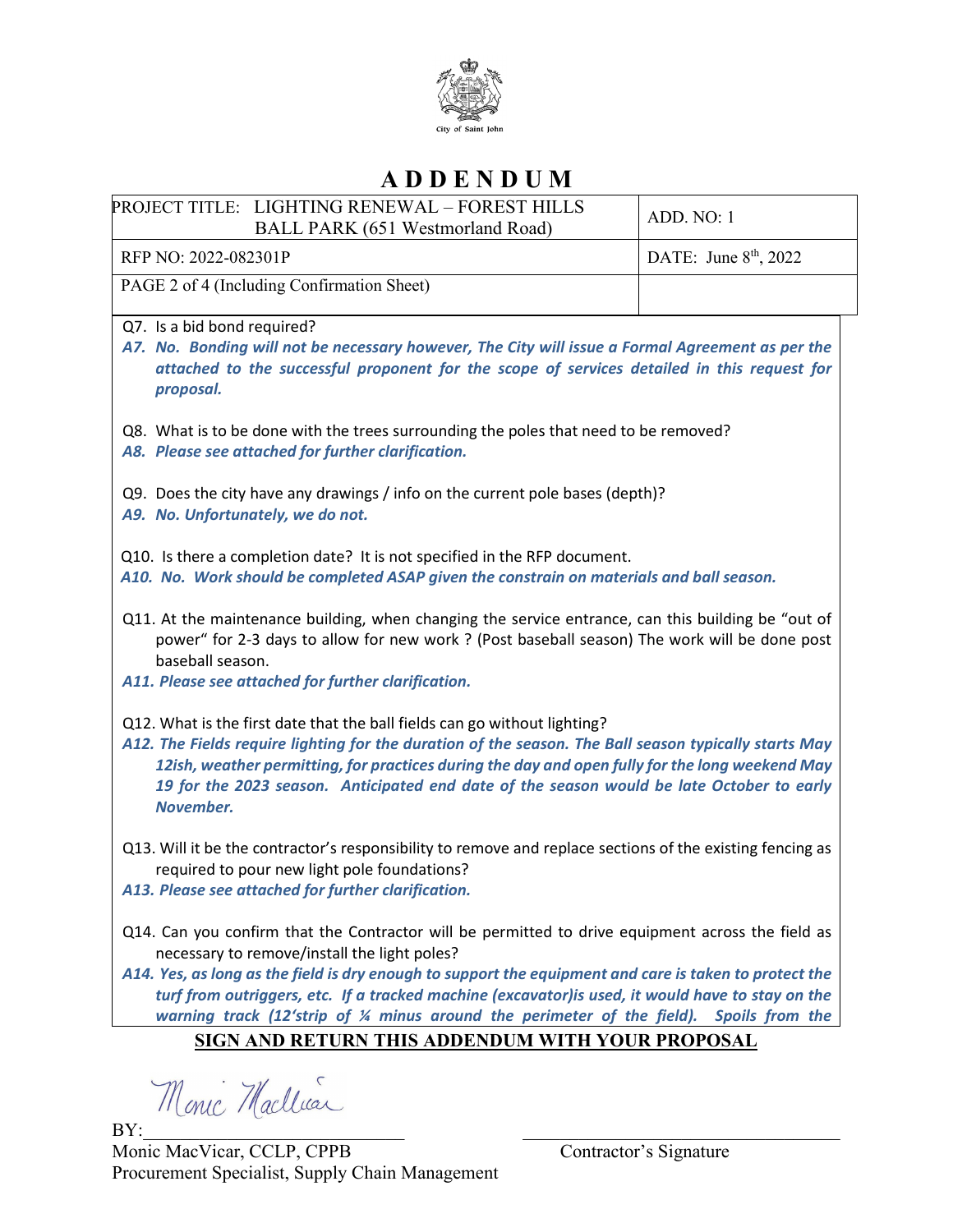

| PROJECT TITLE: LIGHTING RENEWAL - FOREST HILLS<br>BALL PARK (651 Westmorland Road)                                                                                                                                                                                                                                                                                                                                                                                                                            | ADD. NO: 1              |
|---------------------------------------------------------------------------------------------------------------------------------------------------------------------------------------------------------------------------------------------------------------------------------------------------------------------------------------------------------------------------------------------------------------------------------------------------------------------------------------------------------------|-------------------------|
| RFP NO: 2022-082301P                                                                                                                                                                                                                                                                                                                                                                                                                                                                                          | DATE: June $8th$ , 2022 |
| PAGE 2 of 4 (Including Confirmation Sheet)                                                                                                                                                                                                                                                                                                                                                                                                                                                                    |                         |
| Q7. Is a bid bond required?<br>A7. No. Bonding will not be necessary however, The City will issue a Formal Agreement as per the<br>attached to the successful proponent for the scope of services detailed in this request for<br>proposal.                                                                                                                                                                                                                                                                   |                         |
| Q8. What is to be done with the trees surrounding the poles that need to be removed?<br>A8. Please see attached for further clarification.                                                                                                                                                                                                                                                                                                                                                                    |                         |
| Q9. Does the city have any drawings / info on the current pole bases (depth)?<br>A9. No. Unfortunately, we do not.                                                                                                                                                                                                                                                                                                                                                                                            |                         |
| Q10. Is there a completion date? It is not specified in the RFP document.<br>A10. No. Work should be completed ASAP given the constrain on materials and ball season.                                                                                                                                                                                                                                                                                                                                         |                         |
| Q11. At the maintenance building, when changing the service entrance, can this building be "out of<br>power" for 2-3 days to allow for new work ? (Post baseball season) The work will be done post<br>baseball season.<br>A11. Please see attached for further clarification.                                                                                                                                                                                                                                |                         |
| Q12. What is the first date that the ball fields can go without lighting?<br>A12. The Fields require lighting for the duration of the season. The Ball season typically starts May<br>12ish, weather permitting, for practices during the day and open fully for the long weekend May<br>19 for the 2023 season. Anticipated end date of the season would be late October to early<br>November.                                                                                                               |                         |
| Q13. Will it be the contractor's responsibility to remove and replace sections of the existing fencing as<br>required to pour new light pole foundations?<br>A13. Please see attached for further clarification.                                                                                                                                                                                                                                                                                              |                         |
| Q14. Can you confirm that the Contractor will be permitted to drive equipment across the field as<br>necessary to remove/install the light poles?<br>A14. Yes, as long as the field is dry enough to support the equipment and care is taken to protect the<br>turf from outriggers, etc. If a tracked machine (excavator)is used, it would have to stay on the<br>warning track (12'strip of % minus around the perimeter of the field). Spoils from the<br>SIGN AND RETURN THIS ADDENDUM WITH YOUR PROPOSAL |                         |

Monic Maclican

 $BY:$ BY:\_\_\_\_\_\_\_\_\_\_\_\_\_\_\_\_\_\_\_\_\_\_\_\_\_\_\_\_ \_\_\_\_\_\_\_\_\_\_\_\_\_\_\_\_\_\_\_\_\_\_\_\_\_\_\_\_\_\_\_\_\_\_ Monic MacVicar, CCLP, CPPB Contractor's Signature Procurement Specialist, Supply Chain Management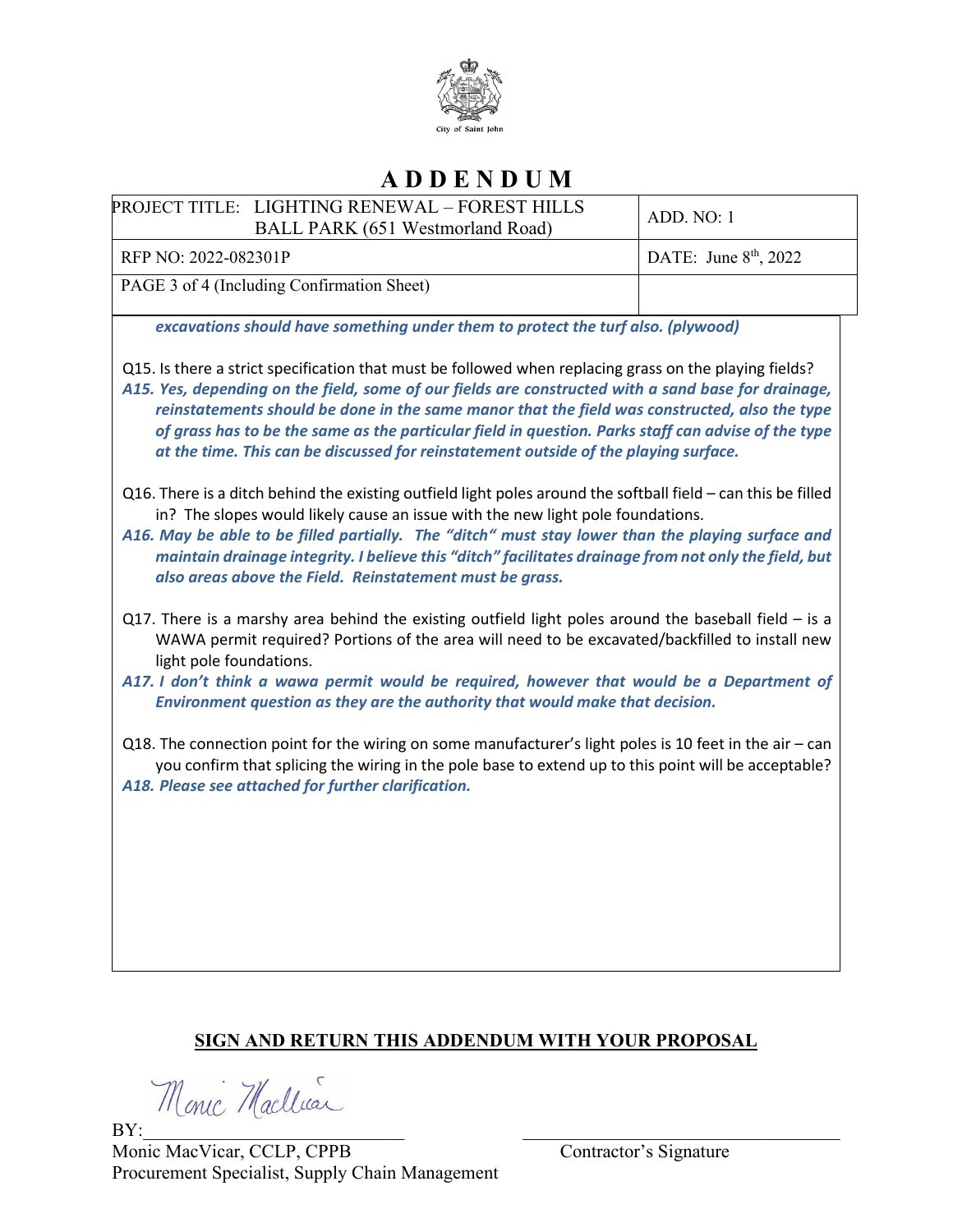

| PROJECT TITLE: LIGHTING RENEWAL - FOREST HILLS<br>BALL PARK (651 Westmorland Road)                                                                                                                                                                                                                                                                                                                                                                                                                            | ADD. NO: 1                        |  |
|---------------------------------------------------------------------------------------------------------------------------------------------------------------------------------------------------------------------------------------------------------------------------------------------------------------------------------------------------------------------------------------------------------------------------------------------------------------------------------------------------------------|-----------------------------------|--|
| RFP NO: 2022-082301P                                                                                                                                                                                                                                                                                                                                                                                                                                                                                          | DATE: June 8 <sup>th</sup> , 2022 |  |
| PAGE 3 of 4 (Including Confirmation Sheet)                                                                                                                                                                                                                                                                                                                                                                                                                                                                    |                                   |  |
| excavations should have something under them to protect the turf also. (plywood)                                                                                                                                                                                                                                                                                                                                                                                                                              |                                   |  |
| Q15. Is there a strict specification that must be followed when replacing grass on the playing fields?<br>A15. Yes, depending on the field, some of our fields are constructed with a sand base for drainage,<br>reinstatements should be done in the same manor that the field was constructed, also the type<br>of grass has to be the same as the particular field in question. Parks staff can advise of the type<br>at the time. This can be discussed for reinstatement outside of the playing surface. |                                   |  |
| Q16. There is a ditch behind the existing outfield light poles around the softball field - can this be filled<br>in? The slopes would likely cause an issue with the new light pole foundations.<br>A16. May be able to be filled partially. The "ditch" must stay lower than the playing surface and<br>maintain drainage integrity. I believe this "ditch" facilitates drainage from not only the field, but<br>also areas above the Field. Reinstatement must be grass.                                    |                                   |  |
| Q17. There is a marshy area behind the existing outfield light poles around the baseball field - is a<br>WAWA permit required? Portions of the area will need to be excavated/backfilled to install new<br>light pole foundations.<br>A17. I don't think a wawa permit would be required, however that would be a Department of<br>Environment question as they are the authority that would make that decision.                                                                                              |                                   |  |
| Q18. The connection point for the wiring on some manufacturer's light poles is 10 feet in the air - can<br>you confirm that splicing the wiring in the pole base to extend up to this point will be acceptable?<br>A18. Please see attached for further clarification.                                                                                                                                                                                                                                        |                                   |  |
|                                                                                                                                                                                                                                                                                                                                                                                                                                                                                                               |                                   |  |

#### **SIGN AND RETURN THIS ADDENDUM WITH YOUR PROPOSAL**

Monic Macluan

BY: BY:\_\_\_\_\_\_\_\_\_\_\_\_\_\_\_\_\_\_\_\_\_\_\_\_\_\_\_\_ \_\_\_\_\_\_\_\_\_\_\_\_\_\_\_\_\_\_\_\_\_\_\_\_\_\_\_\_\_\_\_\_\_\_ Monic MacVicar, CCLP, CPPB Contractor's Signature Procurement Specialist, Supply Chain Management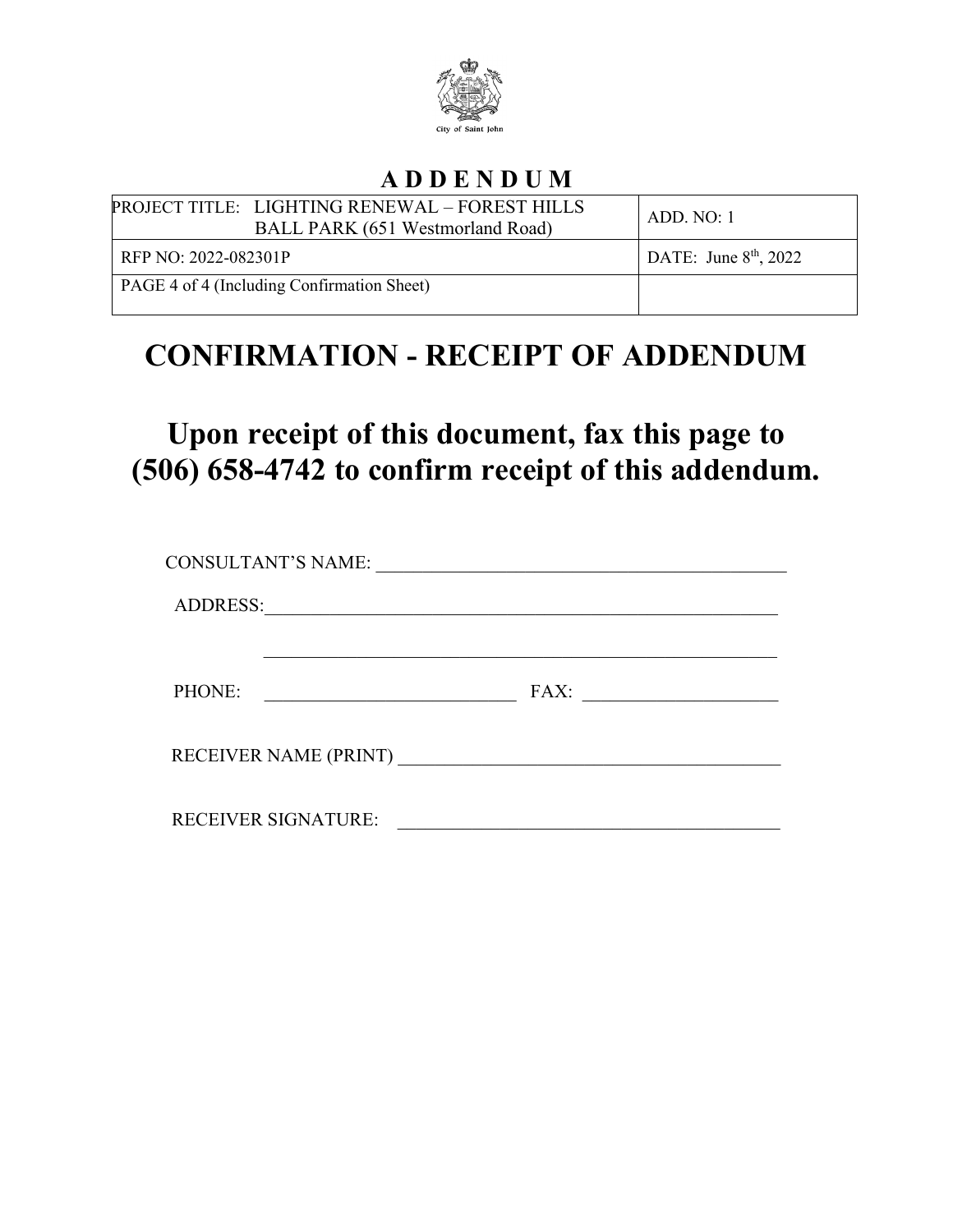

| <b>PROJECT TITLE: LIGHTING RENEWAL – FOREST HILLS</b><br>BALL PARK (651 Westmorland Road) | ADD. NO: 1              |
|-------------------------------------------------------------------------------------------|-------------------------|
| RFP NO: 2022-082301P                                                                      | DATE: June $8th$ , 2022 |
| PAGE 4 of 4 (Including Confirmation Sheet)                                                |                         |

## **CONFIRMATION - RECEIPT OF ADDENDUM**

**Upon receipt of this document, fax this page to (506) 658-4742 to confirm receipt of this addendum.**

| <b>CONSULTANT'S NAME:</b>  |      |  |
|----------------------------|------|--|
| <b>ADDRESS:</b>            |      |  |
| PHONE:                     | FAX: |  |
| RECEIVER NAME (PRINT)      |      |  |
| <b>RECEIVER SIGNATURE:</b> |      |  |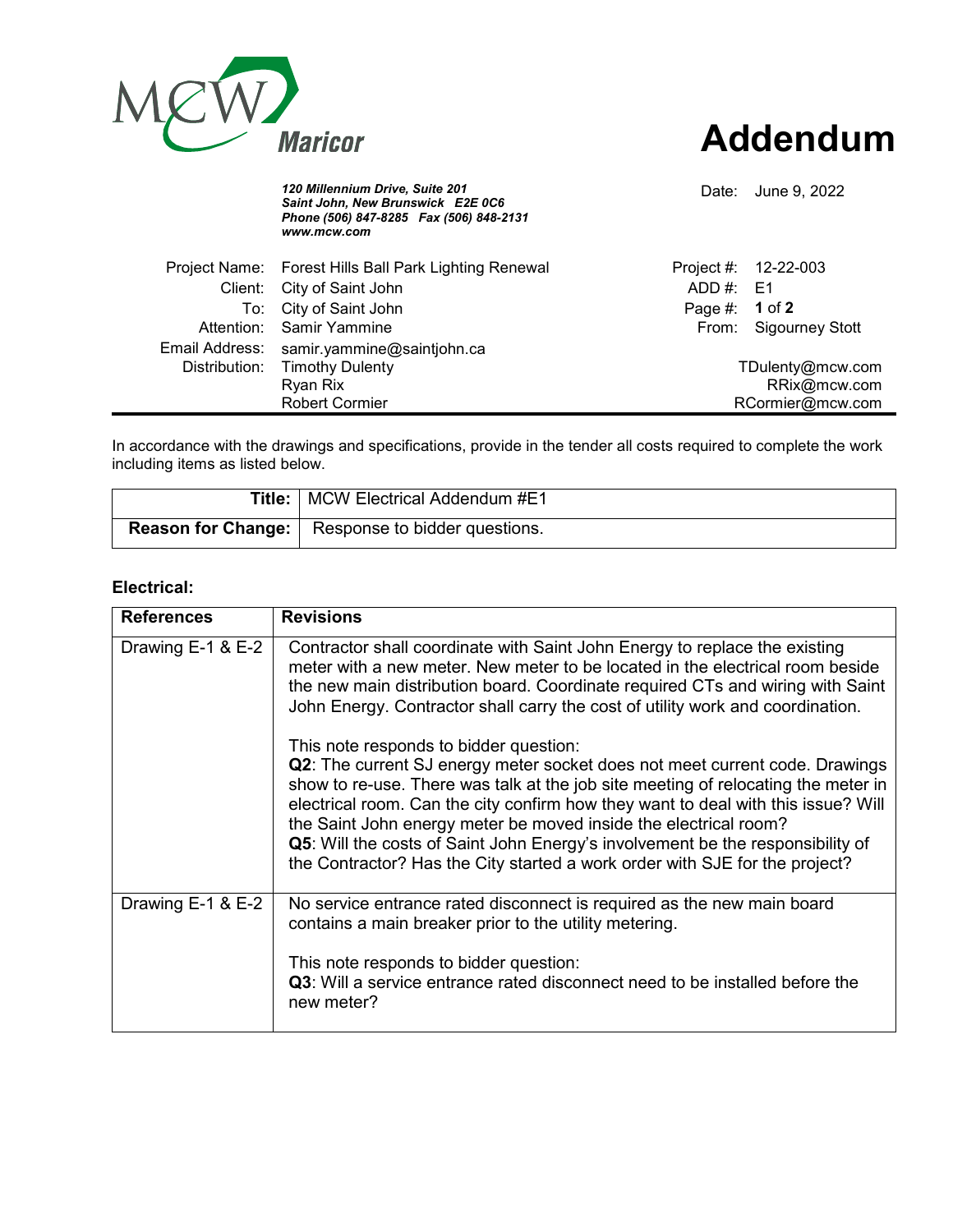

# **Addendum**<br>Maricor

|               | 120 Millennium Drive, Suite 201<br>Saint John, New Brunswick E2E 0C6<br>Phone (506) 847-8285  Fax (506) 848-2131<br>www.mcw.com | Date:            | June 9, 2022               |  |
|---------------|---------------------------------------------------------------------------------------------------------------------------------|------------------|----------------------------|--|
|               | Project Name: Forest Hills Ball Park Lighting Renewal                                                                           |                  | Project #: $12 - 22 - 003$ |  |
|               | Client: City of Saint John                                                                                                      | ADD #: E1        |                            |  |
|               | To: City of Saint John                                                                                                          | Page #: $1$ of 2 |                            |  |
|               | Attention: Samir Yammine                                                                                                        |                  | Sigourney Stott<br>From:   |  |
|               | Email Address: samir.yammine@saintjohn.ca                                                                                       |                  |                            |  |
| Distribution: | <b>Timothy Dulenty</b>                                                                                                          |                  | TDulenty@mcw.com           |  |
|               | Ryan Rix                                                                                                                        |                  | RRix@mcw.com               |  |
|               | <b>Robert Cormier</b>                                                                                                           |                  | RCormier@mcw.com           |  |

In accordance with the drawings and specifications, provide in the tender all costs required to complete the work including items as listed below.

| <b>Title:</b>   MCW Electrical Addendum #E1               |
|-----------------------------------------------------------|
| <b>Reason for Change:</b>   Response to bidder questions. |

#### **Electrical:**

| <b>References</b> | <b>Revisions</b>                                                                                                                                                                                                                                                                                                                                                                                                                                                                                                                     |
|-------------------|--------------------------------------------------------------------------------------------------------------------------------------------------------------------------------------------------------------------------------------------------------------------------------------------------------------------------------------------------------------------------------------------------------------------------------------------------------------------------------------------------------------------------------------|
| Drawing E-1 & E-2 | Contractor shall coordinate with Saint John Energy to replace the existing<br>meter with a new meter. New meter to be located in the electrical room beside<br>the new main distribution board. Coordinate required CTs and wiring with Saint<br>John Energy. Contractor shall carry the cost of utility work and coordination.                                                                                                                                                                                                      |
|                   | This note responds to bidder question:<br>Q2: The current SJ energy meter socket does not meet current code. Drawings<br>show to re-use. There was talk at the job site meeting of relocating the meter in<br>electrical room. Can the city confirm how they want to deal with this issue? Will<br>the Saint John energy meter be moved inside the electrical room?<br>Q5: Will the costs of Saint John Energy's involvement be the responsibility of<br>the Contractor? Has the City started a work order with SJE for the project? |
| Drawing E-1 & E-2 | No service entrance rated disconnect is required as the new main board<br>contains a main breaker prior to the utility metering.<br>This note responds to bidder question:                                                                                                                                                                                                                                                                                                                                                           |
|                   | <b>Q3:</b> Will a service entrance rated disconnect need to be installed before the<br>new meter?                                                                                                                                                                                                                                                                                                                                                                                                                                    |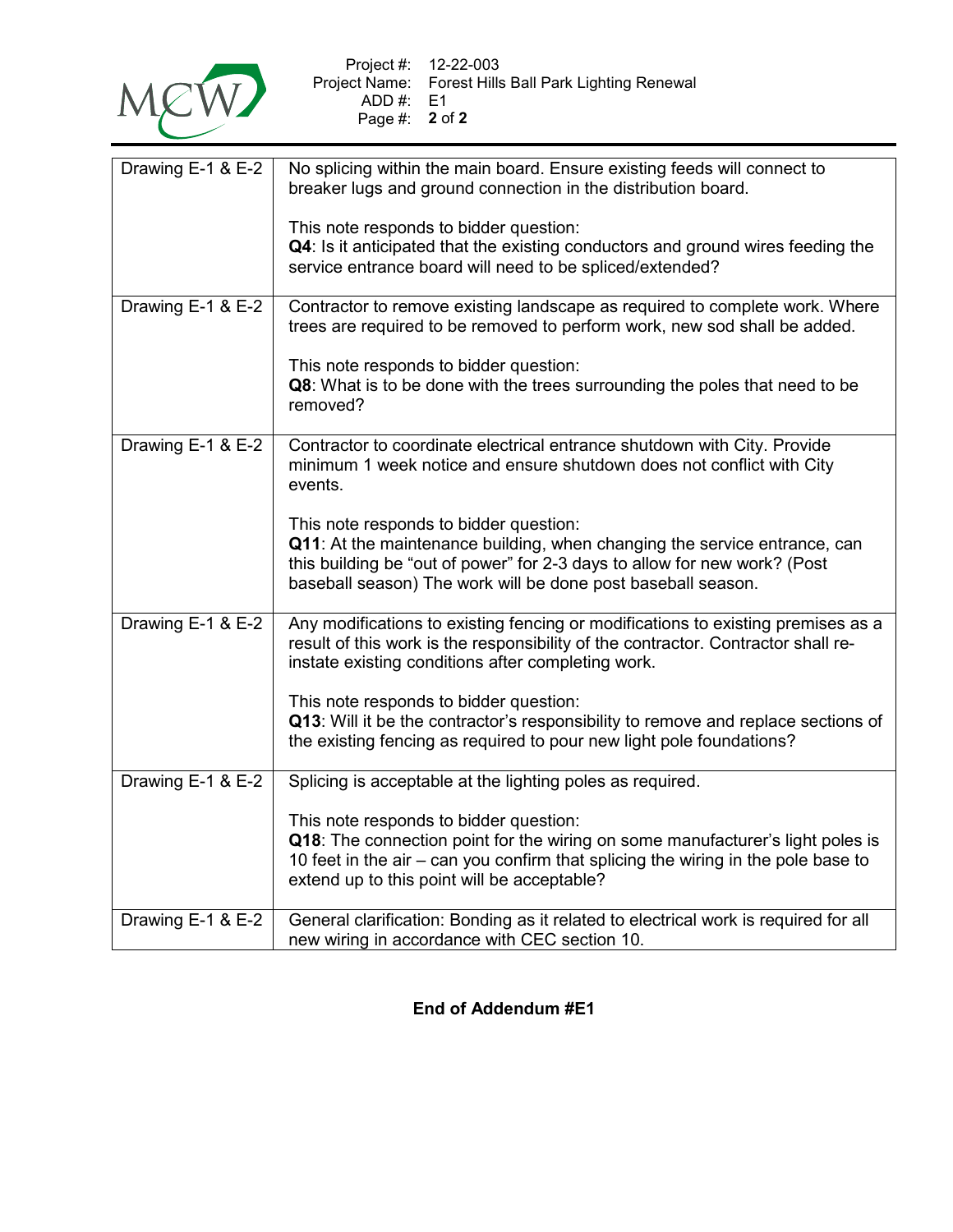

| Drawing E-1 & E-2 | No splicing within the main board. Ensure existing feeds will connect to<br>breaker lugs and ground connection in the distribution board.<br>This note responds to bidder question:<br>Q4: Is it anticipated that the existing conductors and ground wires feeding the<br>service entrance board will need to be spliced/extended?                                                                                                 |
|-------------------|------------------------------------------------------------------------------------------------------------------------------------------------------------------------------------------------------------------------------------------------------------------------------------------------------------------------------------------------------------------------------------------------------------------------------------|
| Drawing E-1 & E-2 | Contractor to remove existing landscape as required to complete work. Where<br>trees are required to be removed to perform work, new sod shall be added.<br>This note responds to bidder question:<br>Q8: What is to be done with the trees surrounding the poles that need to be<br>removed?                                                                                                                                      |
| Drawing E-1 & E-2 | Contractor to coordinate electrical entrance shutdown with City. Provide<br>minimum 1 week notice and ensure shutdown does not conflict with City<br>events.<br>This note responds to bidder question:<br>Q11: At the maintenance building, when changing the service entrance, can<br>this building be "out of power" for 2-3 days to allow for new work? (Post<br>baseball season) The work will be done post baseball season.   |
| Drawing E-1 & E-2 | Any modifications to existing fencing or modifications to existing premises as a<br>result of this work is the responsibility of the contractor. Contractor shall re-<br>instate existing conditions after completing work.<br>This note responds to bidder question:<br>Q13: Will it be the contractor's responsibility to remove and replace sections of<br>the existing fencing as required to pour new light pole foundations? |
| Drawing E-1 & E-2 | Splicing is acceptable at the lighting poles as required.<br>This note responds to bidder question:<br>Q18: The connection point for the wiring on some manufacturer's light poles is<br>10 feet in the air - can you confirm that splicing the wiring in the pole base to<br>extend up to this point will be acceptable?                                                                                                          |
| Drawing E-1 & E-2 | General clarification: Bonding as it related to electrical work is required for all<br>new wiring in accordance with CEC section 10.                                                                                                                                                                                                                                                                                               |

**End of Addendum #E1**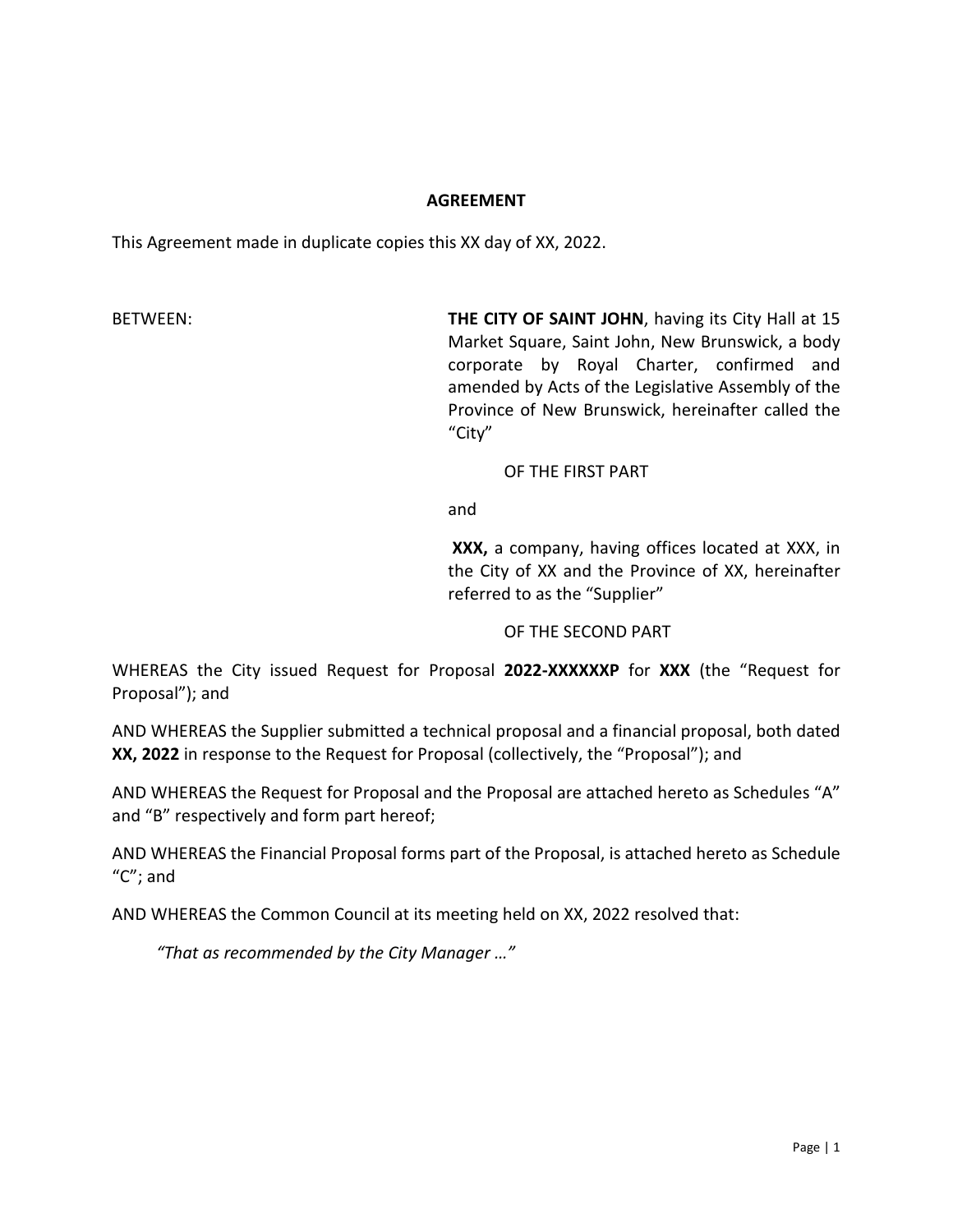#### **AGREEMENT**

This Agreement made in duplicate copies this XX day of XX, 2022.

BETWEEN: **THE CITY OF SAINT JOHN**, having its City Hall at 15 Market Square, Saint John, New Brunswick, a body corporate by Royal Charter, confirmed and amended by Acts of the Legislative Assembly of the Province of New Brunswick, hereinafter called the "City"

OF THE FIRST PART

and

**XXX,** a company, having offices located at XXX, in the City of XX and the Province of XX, hereinafter referred to as the "Supplier"

OF THE SECOND PART

WHEREAS the City issued Request for Proposal **2022-XXXXXXP** for **XXX** (the "Request for Proposal"); and

AND WHEREAS the Supplier submitted a technical proposal and a financial proposal, both dated **XX, 2022** in response to the Request for Proposal (collectively, the "Proposal"); and

AND WHEREAS the Request for Proposal and the Proposal are attached hereto as Schedules "A" and "B" respectively and form part hereof;

AND WHEREAS the Financial Proposal forms part of the Proposal, is attached hereto as Schedule "C"; and

AND WHEREAS the Common Council at its meeting held on XX, 2022 resolved that:

*"That as recommended by the City Manager …"*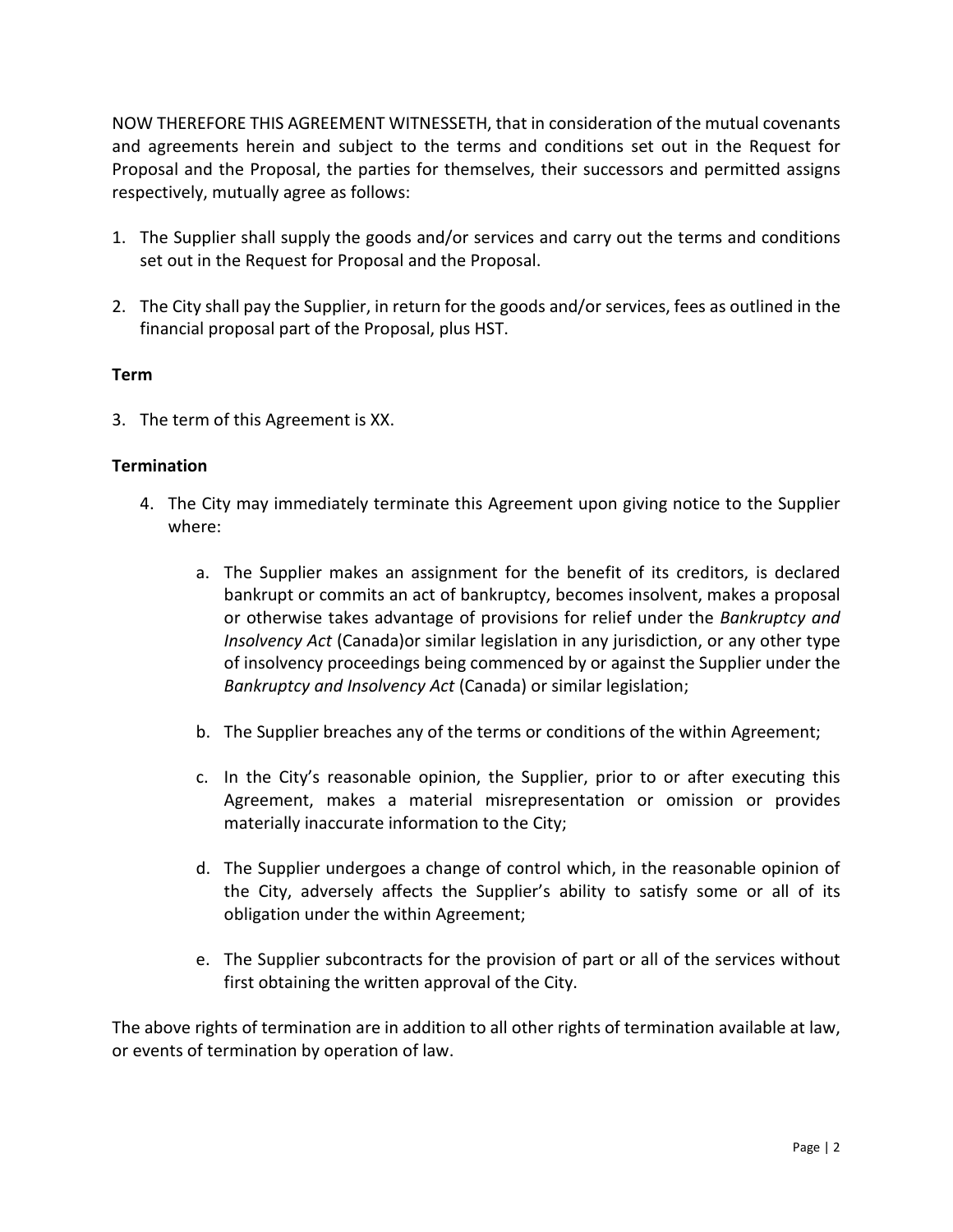NOW THEREFORE THIS AGREEMENT WITNESSETH, that in consideration of the mutual covenants and agreements herein and subject to the terms and conditions set out in the Request for Proposal and the Proposal, the parties for themselves, their successors and permitted assigns respectively, mutually agree as follows:

- 1. The Supplier shall supply the goods and/or services and carry out the terms and conditions set out in the Request for Proposal and the Proposal.
- 2. The City shall pay the Supplier, in return for the goods and/or services, fees as outlined in the financial proposal part of the Proposal, plus HST.

#### **Term**

3. The term of this Agreement is XX.

#### **Termination**

- 4. The City may immediately terminate this Agreement upon giving notice to the Supplier where:
	- a. The Supplier makes an assignment for the benefit of its creditors, is declared bankrupt or commits an act of bankruptcy, becomes insolvent, makes a proposal or otherwise takes advantage of provisions for relief under the *Bankruptcy and Insolvency Act* (Canada)or similar legislation in any jurisdiction, or any other type of insolvency proceedings being commenced by or against the Supplier under the *Bankruptcy and Insolvency Act* (Canada) or similar legislation;
	- b. The Supplier breaches any of the terms or conditions of the within Agreement;
	- c. In the City's reasonable opinion, the Supplier, prior to or after executing this Agreement, makes a material misrepresentation or omission or provides materially inaccurate information to the City;
	- d. The Supplier undergoes a change of control which, in the reasonable opinion of the City, adversely affects the Supplier's ability to satisfy some or all of its obligation under the within Agreement;
	- e. The Supplier subcontracts for the provision of part or all of the services without first obtaining the written approval of the City.

The above rights of termination are in addition to all other rights of termination available at law, or events of termination by operation of law.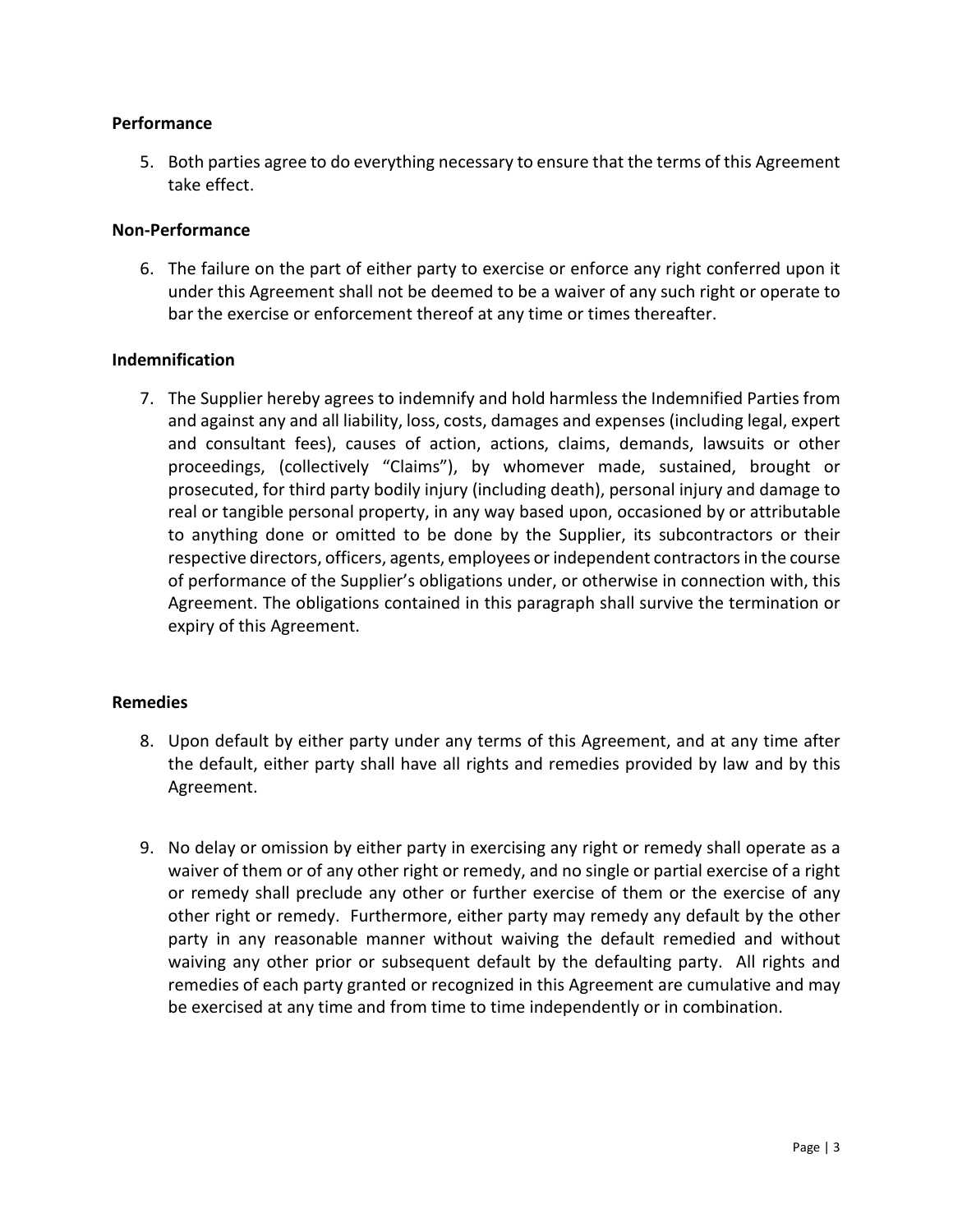#### **Performance**

5. Both parties agree to do everything necessary to ensure that the terms of this Agreement take effect.

#### **Non-Performance**

6. The failure on the part of either party to exercise or enforce any right conferred upon it under this Agreement shall not be deemed to be a waiver of any such right or operate to bar the exercise or enforcement thereof at any time or times thereafter.

#### **Indemnification**

7. The Supplier hereby agrees to indemnify and hold harmless the Indemnified Parties from and against any and all liability, loss, costs, damages and expenses (including legal, expert and consultant fees), causes of action, actions, claims, demands, lawsuits or other proceedings, (collectively "Claims"), by whomever made, sustained, brought or prosecuted, for third party bodily injury (including death), personal injury and damage to real or tangible personal property, in any way based upon, occasioned by or attributable to anything done or omitted to be done by the Supplier, its subcontractors or their respective directors, officers, agents, employees or independent contractors in the course of performance of the Supplier's obligations under, or otherwise in connection with, this Agreement. The obligations contained in this paragraph shall survive the termination or expiry of this Agreement.

#### **Remedies**

- 8. Upon default by either party under any terms of this Agreement, and at any time after the default, either party shall have all rights and remedies provided by law and by this Agreement.
- 9. No delay or omission by either party in exercising any right or remedy shall operate as a waiver of them or of any other right or remedy, and no single or partial exercise of a right or remedy shall preclude any other or further exercise of them or the exercise of any other right or remedy. Furthermore, either party may remedy any default by the other party in any reasonable manner without waiving the default remedied and without waiving any other prior or subsequent default by the defaulting party. All rights and remedies of each party granted or recognized in this Agreement are cumulative and may be exercised at any time and from time to time independently or in combination.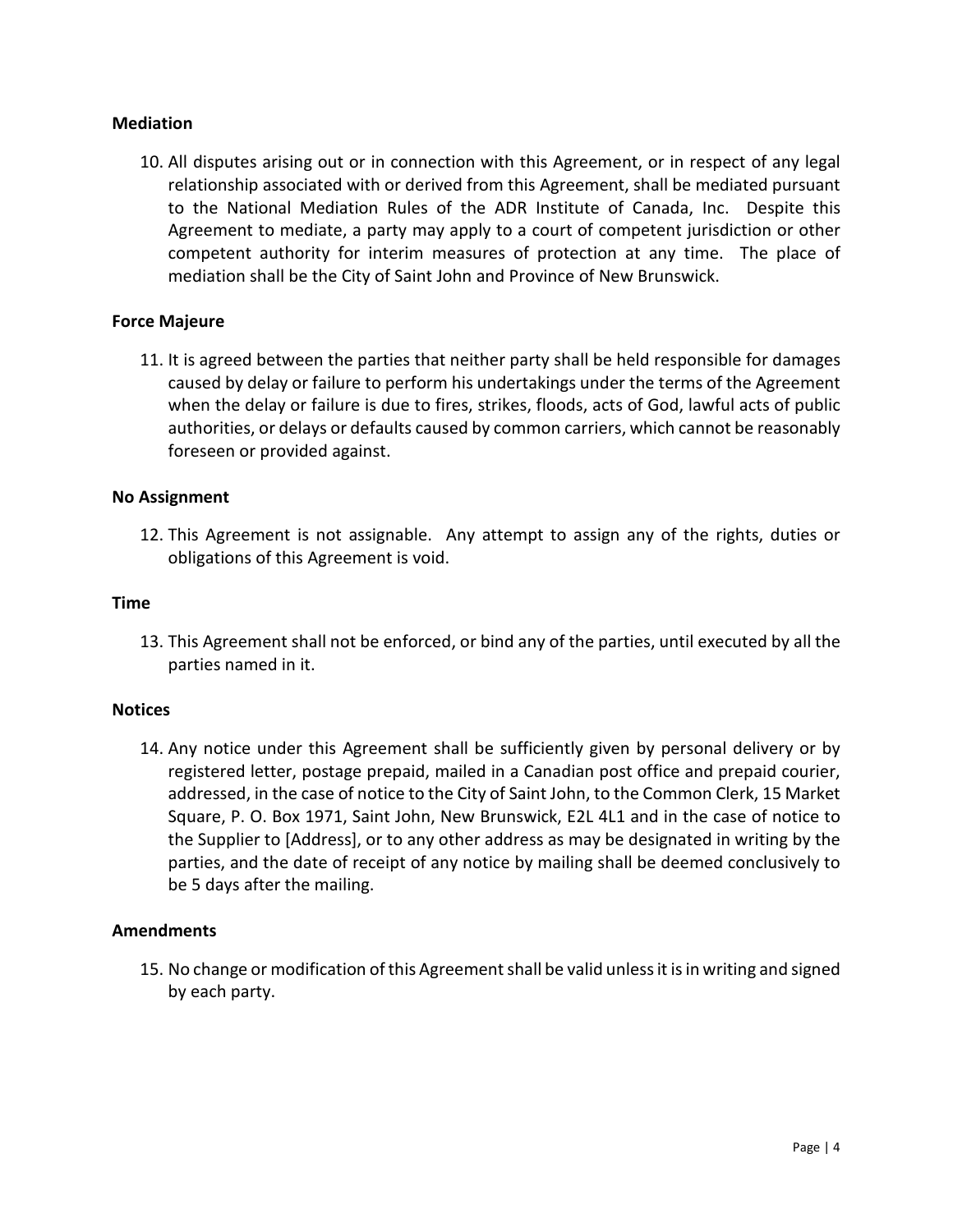#### **Mediation**

10. All disputes arising out or in connection with this Agreement, or in respect of any legal relationship associated with or derived from this Agreement, shall be mediated pursuant to the National Mediation Rules of the ADR Institute of Canada, Inc. Despite this Agreement to mediate, a party may apply to a court of competent jurisdiction or other competent authority for interim measures of protection at any time. The place of mediation shall be the City of Saint John and Province of New Brunswick.

#### **Force Majeure**

11. It is agreed between the parties that neither party shall be held responsible for damages caused by delay or failure to perform his undertakings under the terms of the Agreement when the delay or failure is due to fires, strikes, floods, acts of God, lawful acts of public authorities, or delays or defaults caused by common carriers, which cannot be reasonably foreseen or provided against.

#### **No Assignment**

12. This Agreement is not assignable. Any attempt to assign any of the rights, duties or obligations of this Agreement is void.

#### **Time**

13. This Agreement shall not be enforced, or bind any of the parties, until executed by all the parties named in it.

#### **Notices**

14. Any notice under this Agreement shall be sufficiently given by personal delivery or by registered letter, postage prepaid, mailed in a Canadian post office and prepaid courier, addressed, in the case of notice to the City of Saint John, to the Common Clerk, 15 Market Square, P. O. Box 1971, Saint John, New Brunswick, E2L 4L1 and in the case of notice to the Supplier to [Address], or to any other address as may be designated in writing by the parties, and the date of receipt of any notice by mailing shall be deemed conclusively to be 5 days after the mailing.

#### **Amendments**

15. No change or modification of this Agreement shall be valid unless it is in writing and signed by each party.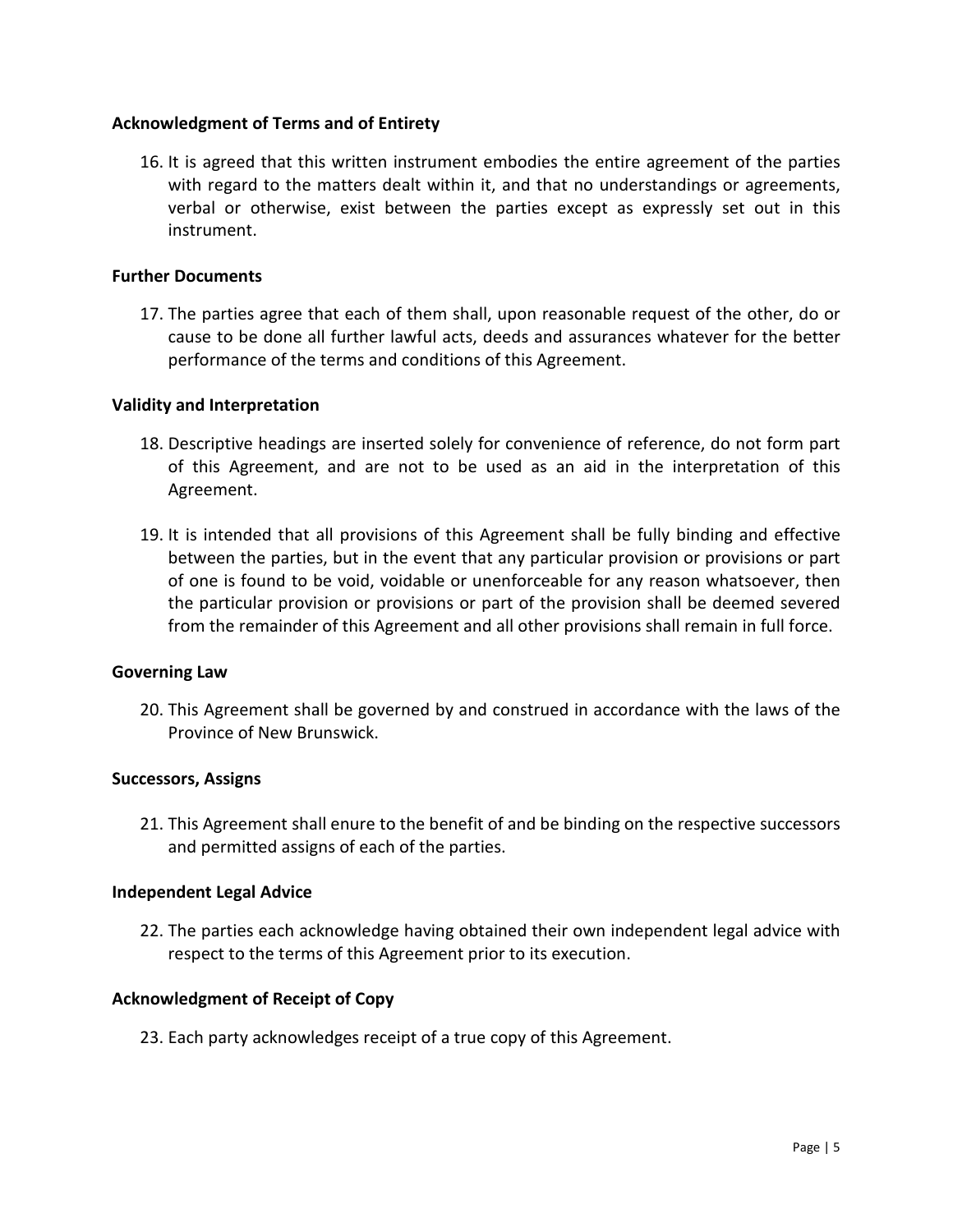#### **Acknowledgment of Terms and of Entirety**

16. It is agreed that this written instrument embodies the entire agreement of the parties with regard to the matters dealt within it, and that no understandings or agreements, verbal or otherwise, exist between the parties except as expressly set out in this instrument.

#### **Further Documents**

17. The parties agree that each of them shall, upon reasonable request of the other, do or cause to be done all further lawful acts, deeds and assurances whatever for the better performance of the terms and conditions of this Agreement.

#### **Validity and Interpretation**

- 18. Descriptive headings are inserted solely for convenience of reference, do not form part of this Agreement, and are not to be used as an aid in the interpretation of this Agreement.
- 19. It is intended that all provisions of this Agreement shall be fully binding and effective between the parties, but in the event that any particular provision or provisions or part of one is found to be void, voidable or unenforceable for any reason whatsoever, then the particular provision or provisions or part of the provision shall be deemed severed from the remainder of this Agreement and all other provisions shall remain in full force.

#### **Governing Law**

20. This Agreement shall be governed by and construed in accordance with the laws of the Province of New Brunswick.

#### **Successors, Assigns**

21. This Agreement shall enure to the benefit of and be binding on the respective successors and permitted assigns of each of the parties.

#### **Independent Legal Advice**

22. The parties each acknowledge having obtained their own independent legal advice with respect to the terms of this Agreement prior to its execution.

#### **Acknowledgment of Receipt of Copy**

23. Each party acknowledges receipt of a true copy of this Agreement.